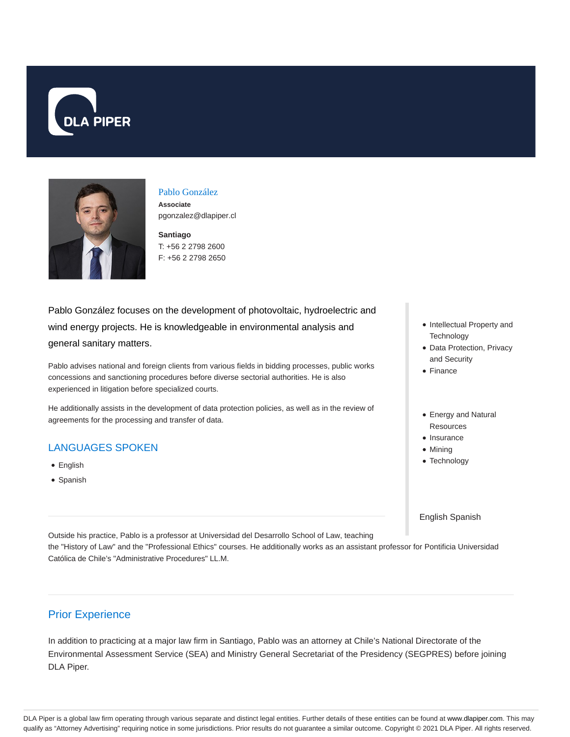



### Pablo González

**Associate** pgonzalez@dlapiper.cl

**Santiago** T: +56 2 2798 2600 F: +56 2 2798 2650

Pablo González focuses on the development of photovoltaic, hydroelectric and wind energy projects. He is knowledgeable in environmental analysis and general sanitary matters.

Pablo advises national and foreign clients from various fields in bidding processes, public works concessions and sanctioning procedures before diverse sectorial authorities. He is also experienced in litigation before specialized courts.

He additionally assists in the development of data protection policies, as well as in the review of agreements for the processing and transfer of data.

#### LANGUAGES SPOKEN

- English
- Spanish

• Intellectual Property and **Technology** 

- Data Protection, Privacy and Security
- Finance
- Energy and Natural Resources
- Insurance
- Mining
- Technology

English Spanish

Outside his practice, Pablo is a professor at Universidad del Desarrollo School of Law, teaching the "History of Law" and the "Professional Ethics" courses. He additionally works as an assistant professor for Pontificia Universidad Católica de Chile's "Administrative Procedures" LL.M.

### Prior Experience

In addition to practicing at a major law firm in Santiago, Pablo was an attorney at Chile's National Directorate of the Environmental Assessment Service (SEA) and Ministry General Secretariat of the Presidency (SEGPRES) before joining DLA Piper.